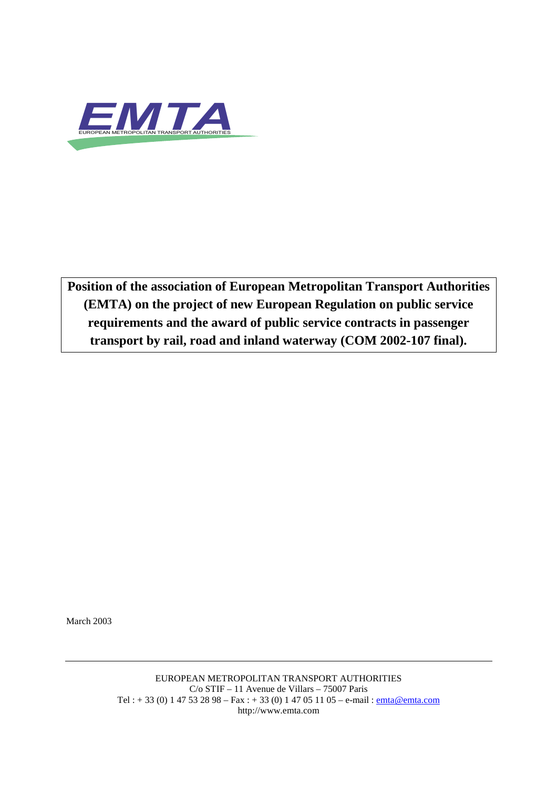

**Position of the association of European Metropolitan Transport Authorities (EMTA) on the project of new European Regulation on public service requirements and the award of public service contracts in passenger transport by rail, road and inland waterway (COM 2002-107 final).**

March 2003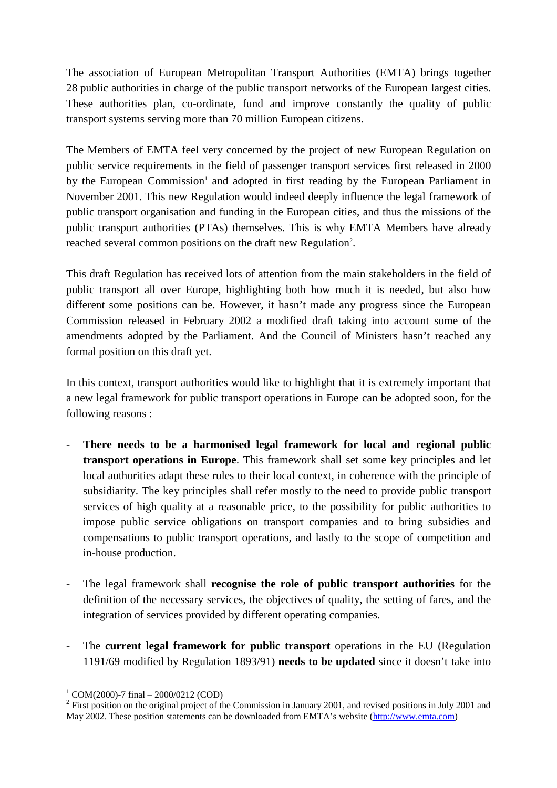The association of European Metropolitan Transport Authorities (EMTA) brings together 28 public authorities in charge of the public transport networks of the European largest cities. These authorities plan, co-ordinate, fund and improve constantly the quality of public transport systems serving more than 70 million European citizens.

The Members of EMTA feel very concerned by the project of new European Regulation on public service requirements in the field of passenger transport services first released in 2000 by the European Commission<sup>1</sup> and adopted in first reading by the European Parliament in November 2001. This new Regulation would indeed deeply influence the legal framework of public transport organisation and funding in the European cities, and thus the missions of the public transport authorities (PTAs) themselves. This is why EMTA Members have already reached several common positions on the draft new Regulation<sup>2</sup>.

This draft Regulation has received lots of attention from the main stakeholders in the field of public transport all over Europe, highlighting both how much it is needed, but also how different some positions can be. However, it hasn't made any progress since the European Commission released in February 2002 a modified draft taking into account some of the amendments adopted by the Parliament. And the Council of Ministers hasn't reached any formal position on this draft yet.

In this context, transport authorities would like to highlight that it is extremely important that a new legal framework for public transport operations in Europe can be adopted soon, for the following reasons :

- **There needs to be a harmonised legal framework for local and regional public transport operations in Europe**. This framework shall set some key principles and let local authorities adapt these rules to their local context, in coherence with the principle of subsidiarity. The key principles shall refer mostly to the need to provide public transport services of high quality at a reasonable price, to the possibility for public authorities to impose public service obligations on transport companies and to bring subsidies and compensations to public transport operations, and lastly to the scope of competition and in-house production.
- The legal framework shall **recognise the role of public transport authorities** for the definition of the necessary services, the objectives of quality, the setting of fares, and the integration of services provided by different operating companies.
- The **current legal framework for public transport** operations in the EU (Regulation 1191/69 modified by Regulation 1893/91) **needs to be updated** since it doesn't take into

l  $1$  COM(2000)-7 final - 2000/0212 (COD)

 $2$  First position on the original project of the Commission in January 2001, and revised positions in July 2001 and May 2002. These position statements can be downloaded from EMTA's website (http://www.emta.com)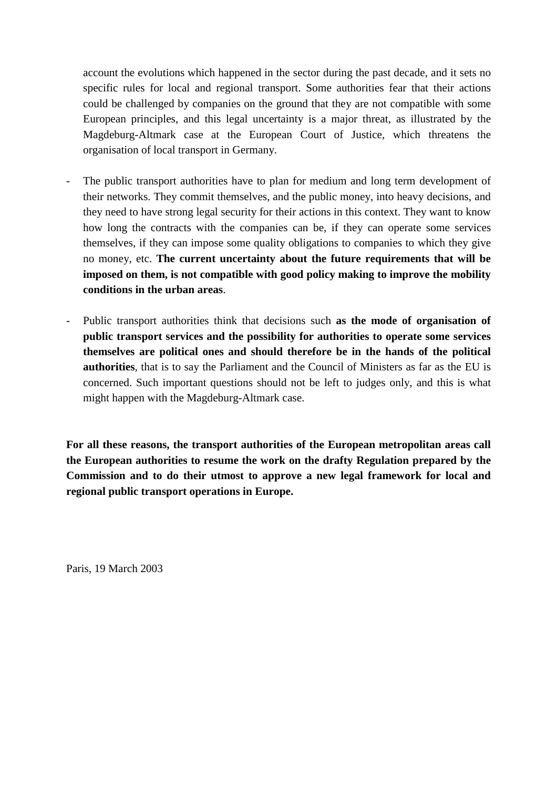account the evolutions which happened in the sector during the past decade, and it sets no specific rules for local and regional transport. Some authorities fear that their actions could be challenged by companies on the ground that they are not compatible with some European principles, and this legal uncertainty is a major threat, as illustrated by the Magdeburg-Altmark case at the European Court of Justice, which threatens the organisation of local transport in Germany.

- The public transport authorities have to plan for medium and long term development of their networks. They commit themselves, and the public money, into heavy decisions, and they need to have strong legal security for their actions in this context. They want to know how long the contracts with the companies can be, if they can operate some services themselves, if they can impose some quality obligations to companies to which they give no money, etc. **The current uncertainty about the future requirements that will be imposed on them, is not compatible with good policy making to improve the mobility conditions in the urban areas**.
- Public transport authorities think that decisions such **as the mode of organisation of public transport services and the possibility for authorities to operate some services themselves are political ones and should therefore be in the hands of the political authorities**, that is to say the Parliament and the Council of Ministers as far as the EU is concerned. Such important questions should not be left to judges only, and this is what might happen with the Magdeburg-Altmark case.

**For all these reasons, the transport authorities of the European metropolitan areas call the European authorities to resume the work on the drafty Regulation prepared by the Commission and to do their utmost to approve a new legal framework for local and regional public transport operations in Europe.**

Paris, 19 March 2003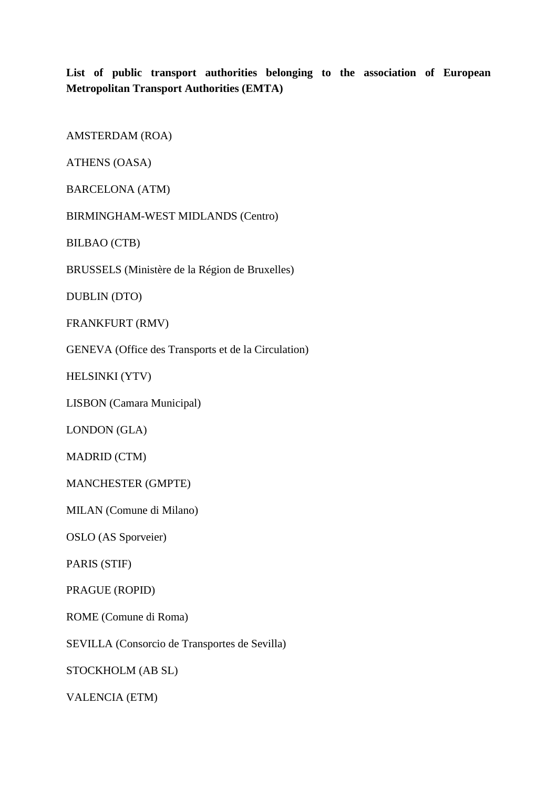**List of public transport authorities belonging to the association of European Metropolitan Transport Authorities (EMTA)**

AMSTERDAM (ROA)

ATHENS (OASA)

BARCELONA (ATM)

BIRMINGHAM-WEST MIDLANDS (Centro)

BILBAO (CTB)

BRUSSELS (Ministère de la Région de Bruxelles)

DUBLIN (DTO)

FRANKFURT (RMV)

GENEVA (Office des Transports et de la Circulation)

HELSINKI (YTV)

LISBON (Camara Municipal)

LONDON (GLA)

MADRID (CTM)

MANCHESTER (GMPTE)

MILAN (Comune di Milano)

OSLO (AS Sporveier)

PARIS (STIF)

PRAGUE (ROPID)

ROME (Comune di Roma)

SEVILLA (Consorcio de Transportes de Sevilla)

STOCKHOLM (AB SL)

VALENCIA (ETM)